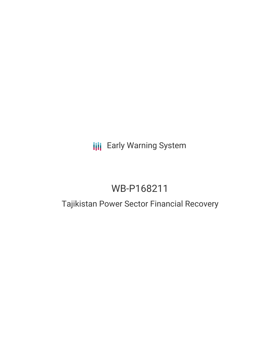## **III** Early Warning System

# WB-P168211

## Tajikistan Power Sector Financial Recovery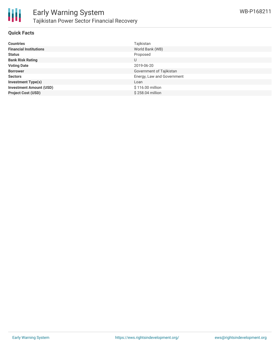

### **Quick Facts**

| <b>Countries</b>               | Tajikistan                 |
|--------------------------------|----------------------------|
| <b>Financial Institutions</b>  | World Bank (WB)            |
| <b>Status</b>                  | Proposed                   |
| <b>Bank Risk Rating</b>        | U                          |
| <b>Voting Date</b>             | 2019-06-20                 |
| <b>Borrower</b>                | Government of Tajikistan   |
| <b>Sectors</b>                 | Energy, Law and Government |
| <b>Investment Type(s)</b>      | Loan                       |
| <b>Investment Amount (USD)</b> | \$116.00 million           |
| <b>Project Cost (USD)</b>      | \$258,04 million           |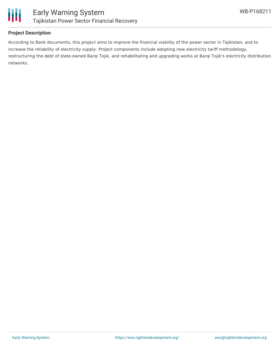

### **Project Description**

According to Bank documents, this project aims to improve the financial viability of the power sector in Tajikistan, and to increase the reliability of electricity supply. Project components include adopting new electricity tariff methodology, restructuring the debt of state-owned Barqi Tojik, and rehabilitating and upgrading works at Barqi Tojik's electricity distribution networks.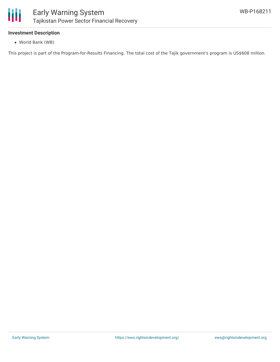

### **Investment Description**

World Bank (WB)

This project is part of the Program-for-Results Financing. The total cost of the Tajik government's program is US\$608 million.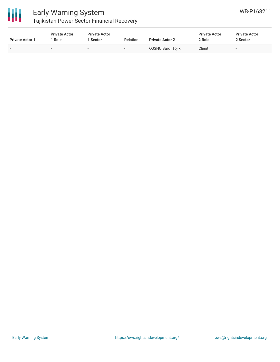

## Early Warning System

Tajikistan Power Sector Financial Recovery

| <b>Private Actor 1</b> | <b>Private Actor</b><br>Role | <b>Private Actor</b><br>Sector | <b>Relation</b> | <b>Private Actor 2</b> | <b>Private Actor</b><br>2 Role | <b>Private Actor</b><br>2 Sector |
|------------------------|------------------------------|--------------------------------|-----------------|------------------------|--------------------------------|----------------------------------|
|                        |                              | $\overline{\phantom{a}}$       |                 | OJSHC Bargi Tojik      | Client                         | $\sim$                           |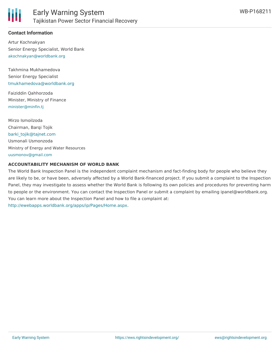

### **Contact Information**

Artur Kochnakyan Senior Energy Specialist, World Bank [akochnakyan@worldbank.org](mailto:akochnakyan@worldbank.org)

Takhmina Mukhamedova Senior Energy Specialist [tmukhamedova@worldbank.org](mailto:tmukhamedova@worldbank.org)

Faiziddin Qahhorzoda Minister, Ministry of Finance [minister@minfin.tj](mailto:minister@minfin.tj)

Mirzo Ismoilzoda Chairman, Barqi Tojik [barki\\_tojik@tajnet.com](mailto:barki_tojik@tajnet.com) Usmonali Usmonzoda Ministry of Energy and Water Resources [uusmonov@gmail.com](mailto:uusmonov@gmail.com)

#### **ACCOUNTABILITY MECHANISM OF WORLD BANK**

The World Bank Inspection Panel is the independent complaint mechanism and fact-finding body for people who believe they are likely to be, or have been, adversely affected by a World Bank-financed project. If you submit a complaint to the Inspection Panel, they may investigate to assess whether the World Bank is following its own policies and procedures for preventing harm to people or the environment. You can contact the Inspection Panel or submit a complaint by emailing ipanel@worldbank.org. You can learn more about the Inspection Panel and how to file a complaint at: <http://ewebapps.worldbank.org/apps/ip/Pages/Home.aspx>.